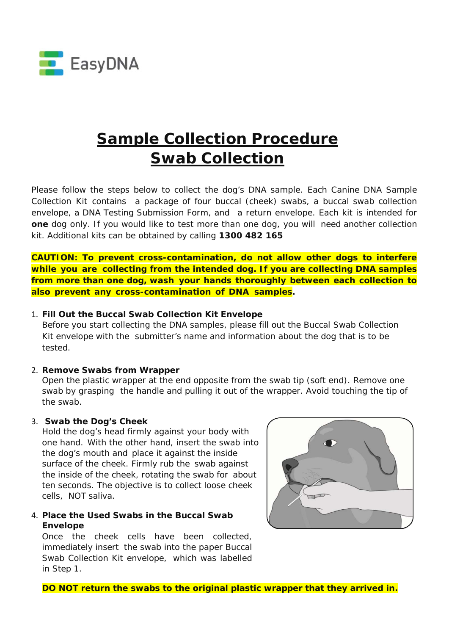

# **Sample Collection Procedure** *Swab Collection*

Please follow the steps below to collect the dog's DNA sample. Each Canine DNA Sample Collection Kit contains a package of four buccal (cheek) swabs, a buccal swab collection envelope, a DNA Testing Submission Form, and a return envelope. Each kit is intended for **one** dog only. If you would like to test more than one dog, you will need another collection kit. Additional kits can be obtained by calling **1300 482 165**

**CAUTION: To prevent cross-contamination, do not allow other dogs to interfere while you are collecting from the intended dog. If you are collecting DNA samples from more than one dog, wash your hands thoroughly between each collection to also prevent any cross-contamination of DNA samples***.*

### 1. **Fill Out the Buccal Swab Collection Kit Envelope**

Before you start collecting the DNA samples, please fill out the Buccal Swab Collection Kit envelope with the submitter's name and information about the dog that is to be tested.

#### 2. **Remove Swabs from Wrapper**

Open the plastic wrapper at the end opposite from the swab tip (soft end). Remove one swab by grasping the handle and pulling it out of the wrapper. Avoid touching the tip of the swab.

#### 3. **Swab the Dog's Cheek**

Hold the dog's head firmly against your body with one hand. With the other hand, insert the swab into the dog's mouth and place it against the inside surface of the cheek. Firmly rub the swab against the inside of the cheek, rotating the swab for about ten seconds. The objective is to collect loose cheek cells, NOT saliva.

## 4. **Place the Used Swabs in the Buccal Swab Envelope**

Once the cheek cells have been collected, immediately insert the swab into the paper Buccal Swab Collection Kit envelope, which was labelled in Step 1.



**DO NOT return the swabs to the original plastic wrapper that they arrived in.**